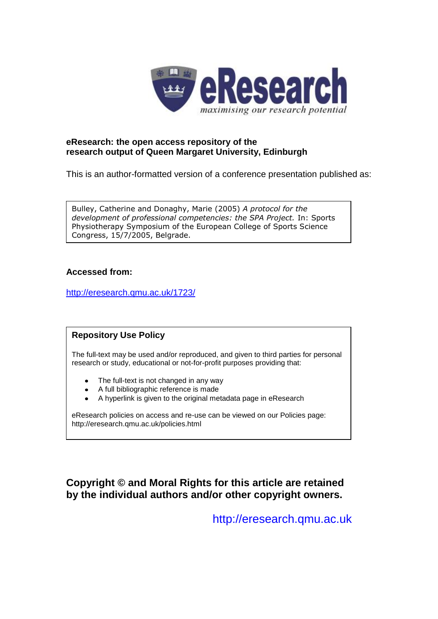

### **eResearch: the open access repository of the research output of Queen Margaret University, Edinburgh**

This is an author-formatted version of a conference presentation published as:

Bulley, Catherine and Donaghy, Marie (2005) *A protocol for the development of professional competencies: the SPA Project.* In: Sports Physiotherapy Symposium of the European College of Sports Science Congress, 15/7/2005, Belgrade.

#### **Accessed from:**

[http://eresearch.qmu.ac.uk/1723/](http://eresearch.qmu.ac.uk/1722/)

### **Repository Use Policy**

The full-text may be used and/or reproduced, and given to third parties for personal research or study, educational or not-for-profit purposes providing that:

- The full-text is not changed in any way
- A full bibliographic reference is made
- A hyperlink is given to the original metadata page in eResearch

eResearch policies on access and re-use can be viewed on our Policies page: <http://eresearch.qmu.ac.uk/policies.html>

### **Copyright © and Moral Rights for this article are retained by the individual authors and/or other copyright owners.**

[http://eresearch.qmu.ac.uk](http://eresearch.qmu.ac.uk/)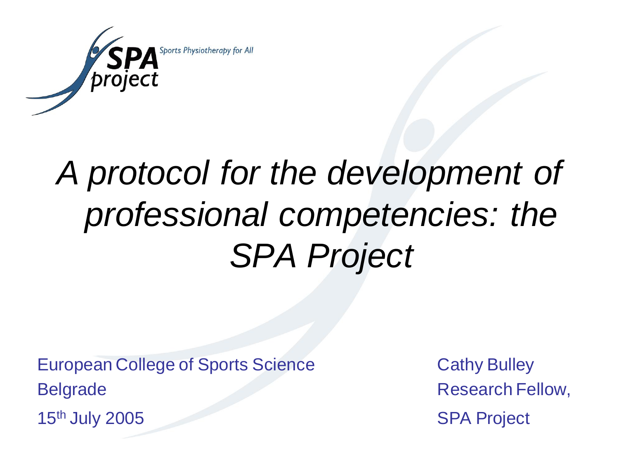

## *A protocol for the development of professional competencies: the SPA Project*

European College of Sports Science Cathy Bulley Belgrade Research Fellow,

15<sup>th</sup> July 2005 SPA Project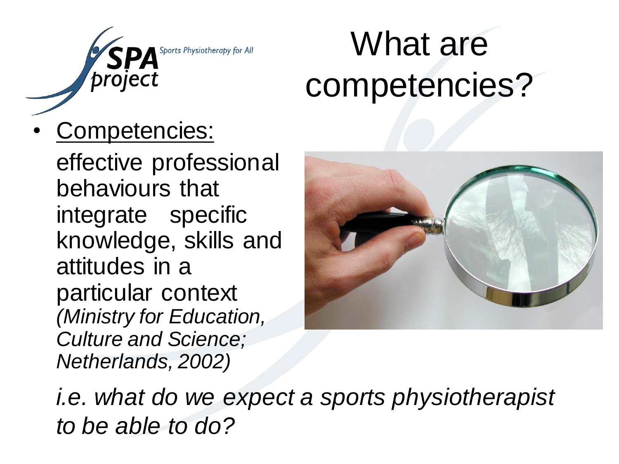

## What are competencies?

• Competencies:

effective professional behaviours that integrate specific knowledge, skills and attitudes in a particular context *(Ministry for Education, Culture and Science; Netherlands, 2002)*



*i.e. what do we expect a sports physiotherapist to be able to do?*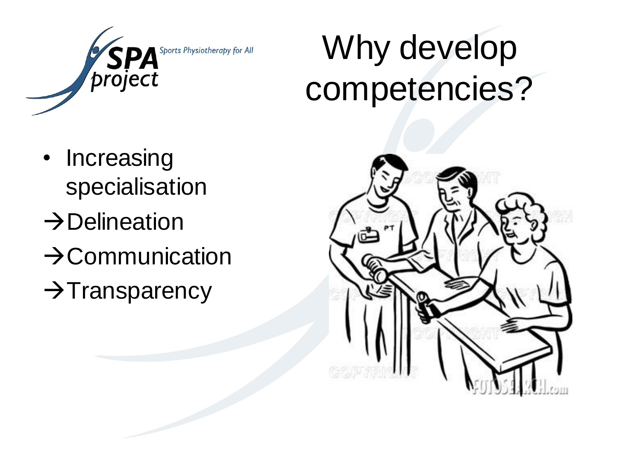

## Why develop competencies?

- Increasing specialisation
- $\rightarrow$ Delineation
- $\rightarrow$ Communication
- $\rightarrow$ Transparency

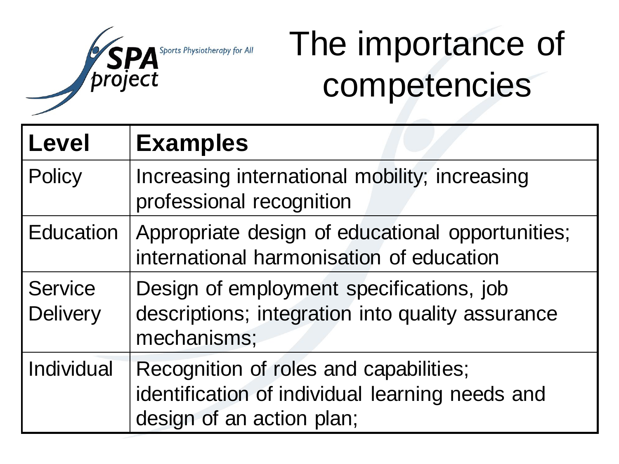

## The importance of competencies

| <b>Level</b>                      | <b>Examples</b>                                                                                                        |
|-----------------------------------|------------------------------------------------------------------------------------------------------------------------|
| Policy                            | Increasing international mobility; increasing<br>professional recognition                                              |
| <b>Education</b>                  | Appropriate design of educational opportunities;<br>international harmonisation of education                           |
| <b>Service</b><br><b>Delivery</b> | Design of employment specifications, job<br>descriptions; integration into quality assurance<br>mechanisms;            |
| Individual                        | Recognition of roles and capabilities;<br>identification of individual learning needs and<br>design of an action plan; |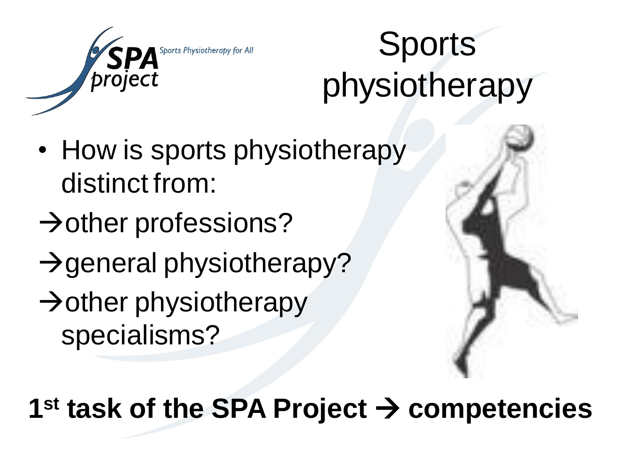

## Sports physiotherapy

- How is sports physiotherapy distinct from:
- $\rightarrow$  other professions?
- $\rightarrow$  general physiotherapy?
- $\rightarrow$  other physiotherapy specialisms?



**1 st task of the SPA Project competencies**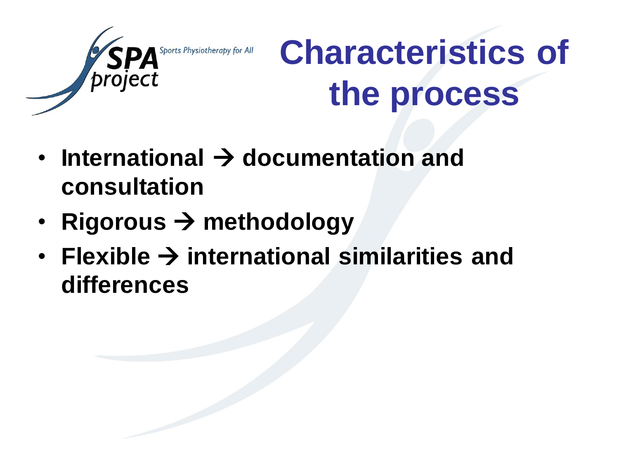

## **Characteristics of the process**

- $\cdot$  International  $\rightarrow$  documentation and **consultation**
- Rigorous  $\rightarrow$  methodology
- Flexible  $\rightarrow$  international similarities and **differences**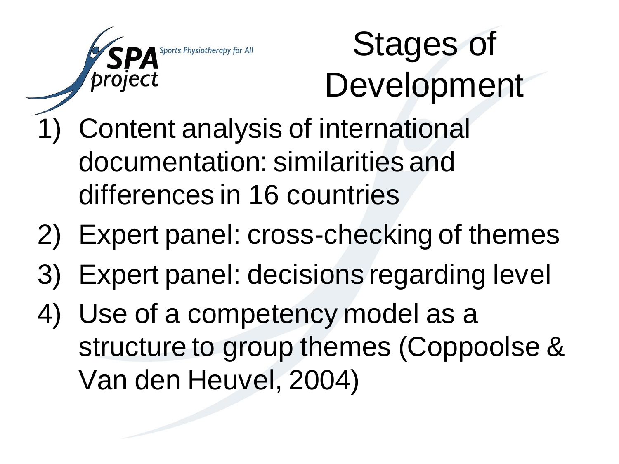

## Stages of Development

- 1) Content analysis of international documentation: similarities and differences in 16 countries
- 2) Expert panel: cross-checking of themes
- 3) Expert panel: decisions regarding level
- 4) Use of a competency model as a structure to group themes (Coppoolse & Van den Heuvel, 2004)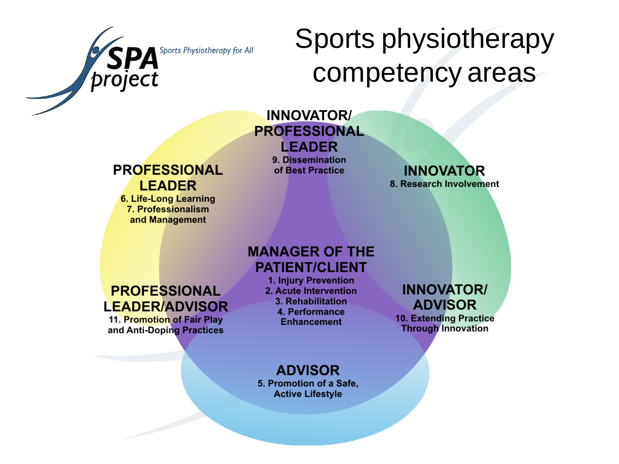

## Sports physiotherapy competency areas

### **INNOVATOR/ PROFESSIONAL LEADER**

### **PROFESSIONAL LEADER**

6. Life-Long Learning 7. Professionalism and Management

9. Dissemination of Best Practice

**INNOVATOR** 8. Research Involvement

### **MANAGER OF THE PATIENT/CLIENT**

### **PROFESSIONAL LEADER/ADVISOR**

11. Promotion of Fair Play and Anti-Doping Practices

1. Injury Prevention 2. Acute Intervention 3. Rehabilitation 4. Performance **Enhancement** 

**INNOVATOR/ ADVISOR** 

**10. Extending Practice Through Innovation** 

### **ADVISOR**

5. Promotion of a Safe, **Active Lifestyle**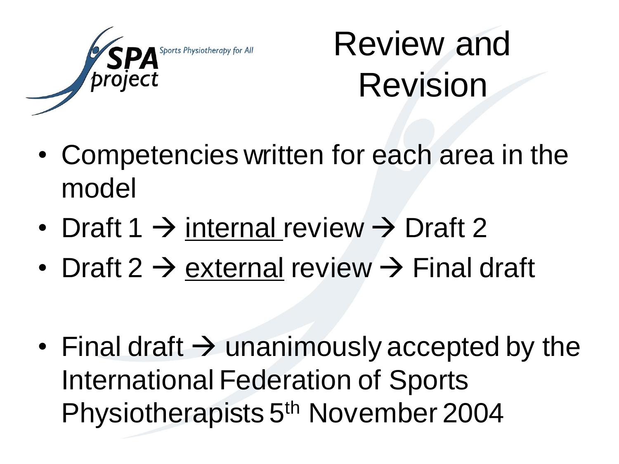

## Review and Revision

- Competencies written for each area in the model
- Draft 1  $\rightarrow$  internal review  $\rightarrow$  Draft 2
- Draft 2  $\rightarrow$  external review  $\rightarrow$  Final draft
- Final draft  $\rightarrow$  unanimously accepted by the International Federation of Sports Physiotherapists 5<sup>th</sup> November 2004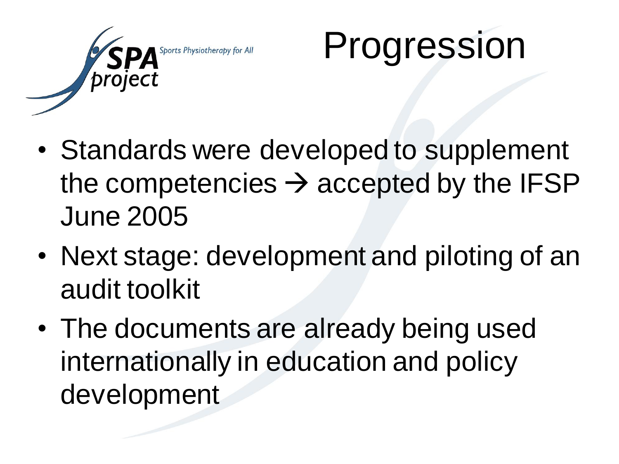

# Progression

- Standards were developed to supplement the competencies  $\rightarrow$  accepted by the IFSP June 2005
- Next stage: development and piloting of an audit toolkit
- The documents are already being used internationally in education and policy development